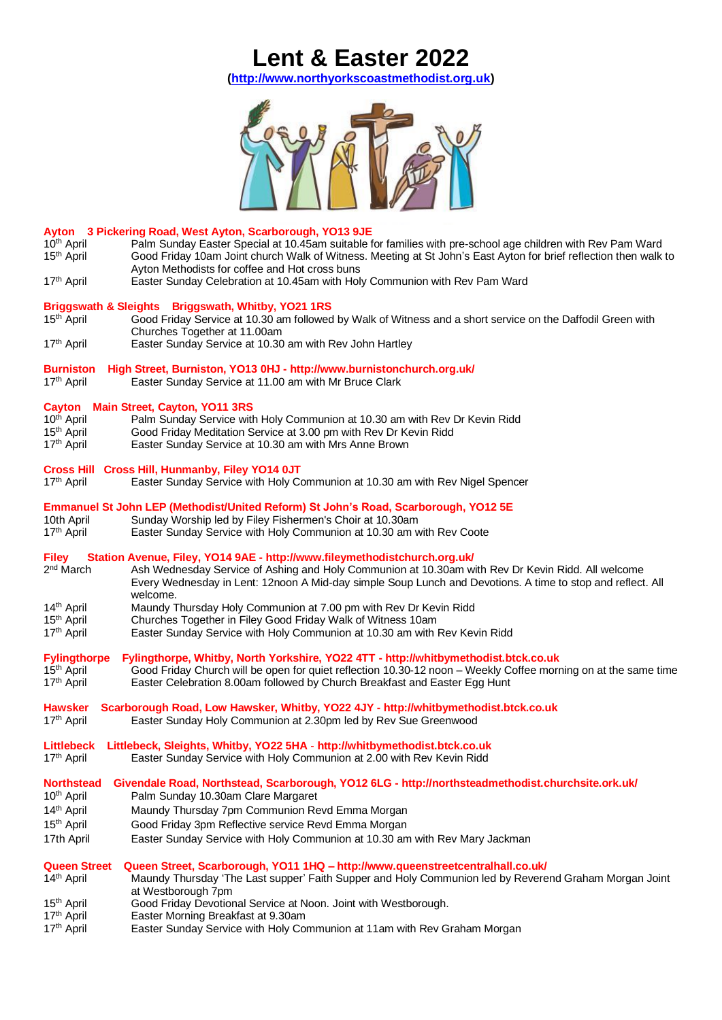## **Lent & Easter 2022**

**[\(http://www.northyorkscoastmethodist.org.uk\)](http://www.northyorkscoastmethodist.org.uk/)**



| Ayton 3 Pickering Road, West Ayton, Scarborough, YO13 9JE<br>10 <sup>th</sup> April<br>Palm Sunday Easter Special at 10.45am suitable for families with pre-school age children with Rev Pam Ward<br>15 <sup>th</sup> April<br>Good Friday 10am Joint church Walk of Witness. Meeting at St John's East Ayton for brief reflection then walk to<br>Ayton Methodists for coffee and Hot cross buns |
|---------------------------------------------------------------------------------------------------------------------------------------------------------------------------------------------------------------------------------------------------------------------------------------------------------------------------------------------------------------------------------------------------|
| 17 <sup>th</sup> April<br>Easter Sunday Celebration at 10.45am with Holy Communion with Rev Pam Ward                                                                                                                                                                                                                                                                                              |
| Briggswath & Sleights Briggswath, Whitby, YO21 1RS<br>15 <sup>th</sup> April<br>Good Friday Service at 10.30 am followed by Walk of Witness and a short service on the Daffodil Green with<br>Churches Together at 11.00am<br>17 <sup>th</sup> April<br>Easter Sunday Service at 10.30 am with Rev John Hartley                                                                                   |
| High Street, Burniston, YO13 0HJ - http://www.burnistonchurch.org.uk/<br><b>Burniston</b><br>17 <sup>th</sup> April<br>Easter Sunday Service at 11.00 am with Mr Bruce Clark                                                                                                                                                                                                                      |
| Cayton Main Street, Cayton, YO11 3RS<br>10 <sup>th</sup> April<br>Palm Sunday Service with Holy Communion at 10.30 am with Rev Dr Kevin Ridd<br>15 <sup>th</sup> April<br>Good Friday Meditation Service at 3.00 pm with Rev Dr Kevin Ridd<br>17 <sup>th</sup> April<br>Easter Sunday Service at 10.30 am with Mrs Anne Brown                                                                     |
| Cross Hill Cross Hill, Hunmanby, Filey YO14 0JT<br>17 <sup>th</sup> April<br>Easter Sunday Service with Holy Communion at 10.30 am with Rev Nigel Spencer                                                                                                                                                                                                                                         |
| Emmanuel St John LEP (Methodist/United Reform) St John's Road, Scarborough, YO12 5E<br>10th April<br>Sunday Worship led by Filey Fishermen's Choir at 10.30am<br>17 <sup>th</sup> April<br>Easter Sunday Service with Holy Communion at 10.30 am with Rev Coote                                                                                                                                   |
| Station Avenue, Filey, YO14 9AE - http://www.fileymethodistchurch.org.uk/<br><b>Filey</b><br>2 <sup>nd</sup> March<br>Ash Wednesday Service of Ashing and Holy Communion at 10.30am with Rev Dr Kevin Ridd. All welcome<br>Every Wednesday in Lent: 12noon A Mid-day simple Soup Lunch and Devotions. A time to stop and reflect. All<br>welcome.                                                 |
| 14 <sup>th</sup> April<br>Maundy Thursday Holy Communion at 7.00 pm with Rev Dr Kevin Ridd<br>Churches Together in Filey Good Friday Walk of Witness 10am<br>15 <sup>th</sup> April<br>17 <sup>th</sup> April<br>Easter Sunday Service with Holy Communion at 10.30 am with Rev Kevin Ridd                                                                                                        |
| Fylingthorpe, Whitby, North Yorkshire, YO22 4TT - http://whitbymethodist.btck.co.uk<br><b>Fylingthorpe</b><br>15 <sup>th</sup> April<br>Good Friday Church will be open for quiet reflection 10.30-12 noon - Weekly Coffee morning on at the same time<br>17 <sup>th</sup> April<br>Easter Celebration 8.00am followed by Church Breakfast and Easter Egg Hunt                                    |
| Scarborough Road, Low Hawsker, Whitby, YO22 4JY - http://whitbymethodist.btck.co.uk<br><b>Hawsker</b><br>17 <sup>th</sup> April<br>Easter Sunday Holy Communion at 2.30pm led by Rev Sue Greenwood                                                                                                                                                                                                |
| Littlebeck, Sleights, Whitby, YO22 5HA - http://whitbymethodist.btck.co.uk<br>Littlebeck<br>17 <sup>th</sup> April<br>Easter Sunday Service with Holy Communion at 2.00 with Rev Kevin Ridd                                                                                                                                                                                                       |
| Givendale Road, Northstead, Scarborough, YO12 6LG - http://northsteadmethodist.churchsite.ork.uk/<br><b>Northstead</b><br>Palm Sunday 10.30am Clare Margaret<br>10 <sup>th</sup> April                                                                                                                                                                                                            |
| 14 <sup>th</sup> April<br>Maundy Thursday 7pm Communion Revd Emma Morgan<br>15 <sup>th</sup> April<br>Good Friday 3pm Reflective service Revd Emma Morgan                                                                                                                                                                                                                                         |
| Easter Sunday Service with Holy Communion at 10.30 am with Rev Mary Jackman<br>17th April                                                                                                                                                                                                                                                                                                         |
| Queen Street, Scarborough, YO11 1HQ - http://www.queenstreetcentralhall.co.uk/<br><b>Queen Street</b>                                                                                                                                                                                                                                                                                             |

- 14<sup>th</sup> April Maundy Thursday 'The Last supper' Faith Supper and Holy Communion led by Reverend Graham Morgan Joint at Westborough 7pm
- 15 <sup>th</sup> April Good Friday Devotional Service at Noon. Joint with Westborough.
- 17 Easter Morning Breakfast at 9.30am
- 17 Easter Sunday Service with Holy Communion at 11am with Rev Graham Morgan